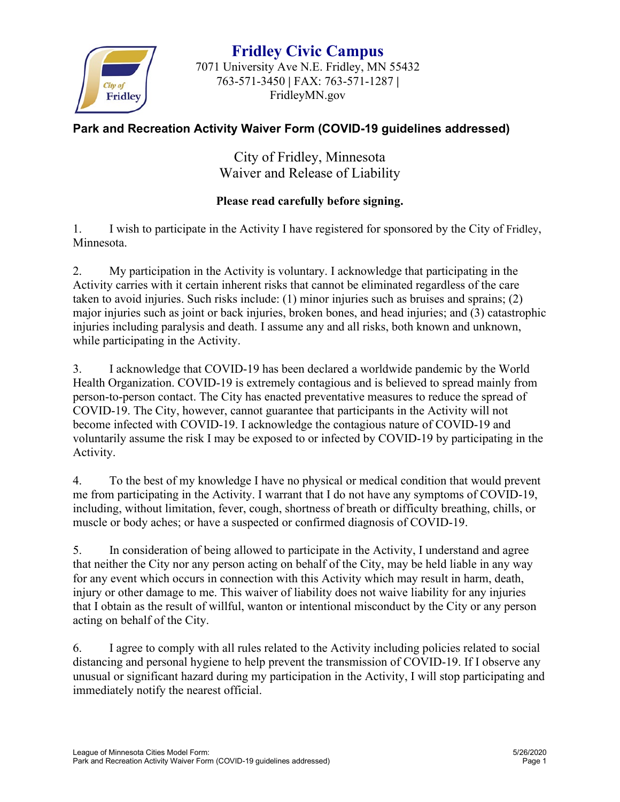

**Fridley Civic Campus** 7071 University Ave N.E. Fridley, MN 55432 763-571-3450 **|** FAX: 763-571-1287 **|** FridleyMN.gov

## **Park and Recreation Activity Waiver Form (COVID-19 guidelines addressed)**

City of Fridley, Minnesota Waiver and Release of Liability

## **Please read carefully before signing.**

1. I wish to participate in the Activity I have registered for sponsored by the City of Fridley, Minnesota.

2. My participation in the Activity is voluntary. I acknowledge that participating in the Activity carries with it certain inherent risks that cannot be eliminated regardless of the care taken to avoid injuries. Such risks include: (1) minor injuries such as bruises and sprains; (2) major injuries such as joint or back injuries, broken bones, and head injuries; and (3) catastrophic injuries including paralysis and death. I assume any and all risks, both known and unknown, while participating in the Activity.

3. I acknowledge that COVID-19 has been declared a worldwide pandemic by the World Health Organization. COVID-19 is extremely contagious and is believed to spread mainly from person-to-person contact. The City has enacted preventative measures to reduce the spread of COVID-19. The City, however, cannot guarantee that participants in the Activity will not become infected with COVID-19. I acknowledge the contagious nature of COVID-19 and voluntarily assume the risk I may be exposed to or infected by COVID-19 by participating in the Activity.

4. To the best of my knowledge I have no physical or medical condition that would prevent me from participating in the Activity. I warrant that I do not have any symptoms of COVID-19, including, without limitation, fever, cough, shortness of breath or difficulty breathing, chills, or muscle or body aches; or have a suspected or confirmed diagnosis of COVID-19.

5. In consideration of being allowed to participate in the Activity, I understand and agree that neither the City nor any person acting on behalf of the City, may be held liable in any way for any event which occurs in connection with this Activity which may result in harm, death, injury or other damage to me. This waiver of liability does not waive liability for any injuries that I obtain as the result of willful, wanton or intentional misconduct by the City or any person acting on behalf of the City.

6. I agree to comply with all rules related to the Activity including policies related to social distancing and personal hygiene to help prevent the transmission of COVID-19. If I observe any unusual or significant hazard during my participation in the Activity, I will stop participating and immediately notify the nearest official.